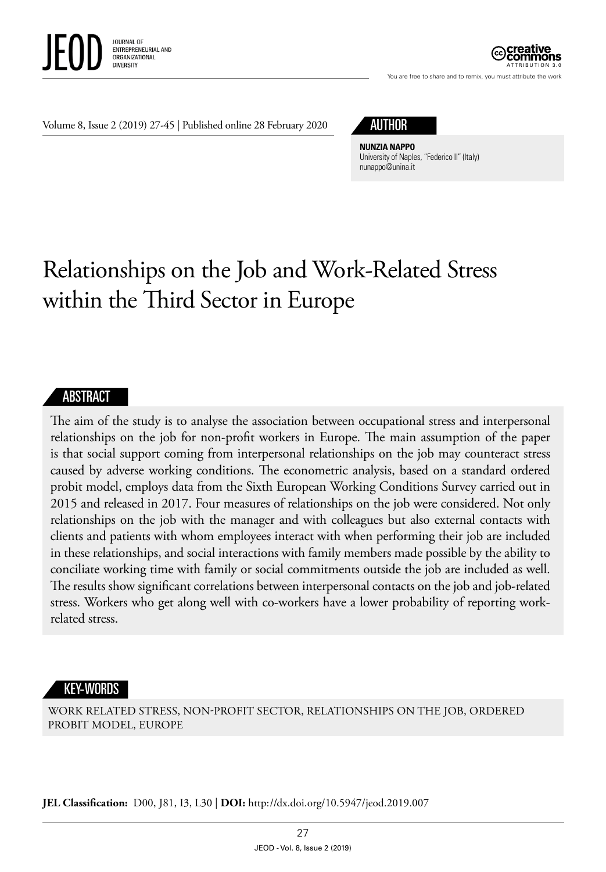

ATTRIBUTION 3.0

You are free to share and to remix, you must attribute the work

Volume 8, Issue 2 (2019) 27-45 | Published online 28 February 2020

## AUTHOR

**NUNZIA NAPPO** University of Naples, "Federico II" (Italy) [nunappo@unina.it](mailto:nunappo@unina.it)

# Relationships on the Job and Work-Related Stress within the Third Sector in Europe

#### ABSTRACT

The aim of the study is to analyse the association between occupational stress and interpersonal relationships on the job for non-profit workers in Europe. The main assumption of the paper is that social support coming from interpersonal relationships on the job may counteract stress caused by adverse working conditions. The econometric analysis, based on a standard ordered probit model, employs data from the Sixth European Working Conditions Survey carried out in 2015 and released in 2017. Four measures of relationships on the job were considered. Not only relationships on the job with the manager and with colleagues but also external contacts with clients and patients with whom employees interact with when performing their job are included in these relationships, and social interactions with family members made possible by the ability to conciliate working time with family or social commitments outside the job are included as well. The results show significant correlations between interpersonal contacts on the job and job-related stress. Workers who get along well with co-workers have a lower probability of reporting workrelated stress.

#### KEY-WORDS

WORK RELATED STRESS, NON-PROFIT SECTOR, RELATIONSHIPS ON THE JOB, ORDERED PROBIT MODEL, EUROPE

**JEL Classification:** D00, J81, I3, L30 | **DOI:** http: / /dx.doi. org/10.5947/jeod.2019.007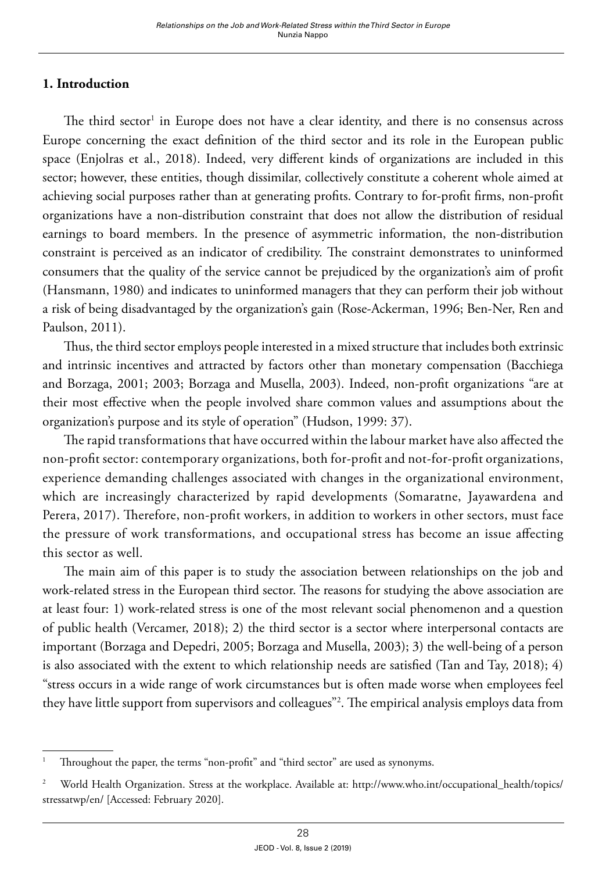#### **1. Introduction**

The third  ${\rm sector}^1$  in Europe does not have a clear identity, and there is no consensus across Europe concerning the exact definition of the third sector and its role in the European public space (Enjolras et al., 2018). Indeed, very different kinds of organizations are included in this sector; however, these entities, though dissimilar, collectively constitute a coherent whole aimed at achieving social purposes rather than at generating profits. Contrary to for-profit firms, non-profit organizations have a non-distribution constraint that does not allow the distribution of residual earnings to board members. In the presence of asymmetric information, the non-distribution constraint is perceived as an indicator of credibility. The constraint demonstrates to uninformed consumers that the quality of the service cannot be prejudiced by the organization's aim of profit (Hansmann, 1980) and indicates to uninformed managers that they can perform their job without a risk of being disadvantaged by the organization's gain (Rose-Ackerman, 1996; Ben-Ner, Ren and Paulson, 2011).

Thus, the third sector employs people interested in a mixed structure that includes both extrinsic and intrinsic incentives and attracted by factors other than monetary compensation (Bacchiega and Borzaga, 2001; 2003; Borzaga and Musella, 2003). Indeed, non-profit organizations "are at their most effective when the people involved share common values and assumptions about the organization's purpose and its style of operation" (Hudson, 1999: 37).

The rapid transformations that have occurred within the labour market have also affected the non-profit sector: contemporary organizations, both for-profit and not-for-profit organizations, experience demanding challenges associated with changes in the organizational environment, which are increasingly characterized by rapid developments (Somaratne, Jayawardena and Perera, 2017). Therefore, non-profit workers, in addition to workers in other sectors, must face the pressure of work transformations, and occupational stress has become an issue affecting this sector as well.

The main aim of this paper is to study the association between relationships on the job and work-related stress in the European third sector. The reasons for studying the above association are at least four: 1) work-related stress is one of the most relevant social phenomenon and a question of public health (Vercamer, 2018); 2) the third sector is a sector where interpersonal contacts are important (Borzaga and Depedri, 2005; Borzaga and Musella, 2003); 3) the well-being of a person is also associated with the extent to which relationship needs are satisfied (Tan and Tay, 2018); 4) "stress occurs in a wide range of work circumstances but is often made worse when employees feel they have little support from supervisors and colleagues"2 . The empirical analysis employs data from

Throughout the paper, the terms "non-profit" and "third sector" are used as synonyms.

<sup>&</sup>lt;sup>2</sup> World Health Organization. Stress at the workplace. Available at: [http://www.who.int/occupational\\_health/topics/](http://www.who.int/occupational_health/topics/stressatwp/en/) [stressatwp/en/](http://www.who.int/occupational_health/topics/stressatwp/en/) [Accessed: February 2020].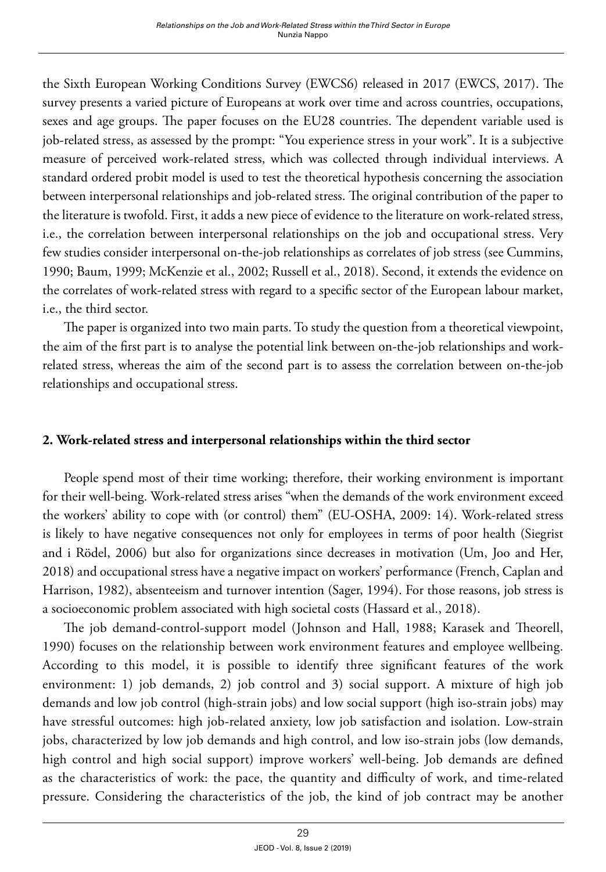the Sixth European Working Conditions Survey (EWCS6) released in 2017 (EWCS, 2017). The survey presents a varied picture of Europeans at work over time and across countries, occupations, sexes and age groups. The paper focuses on the EU28 countries. The dependent variable used is job-related stress, as assessed by the prompt: "You experience stress in your work". It is a subjective measure of perceived work-related stress, which was collected through individual interviews. A standard ordered probit model is used to test the theoretical hypothesis concerning the association between interpersonal relationships and job-related stress. The original contribution of the paper to the literature is twofold. First, it adds a new piece of evidence to the literature on work-related stress, i.e., the correlation between interpersonal relationships on the job and occupational stress. Very few studies consider interpersonal on-the-job relationships as correlates of job stress (see Cummins, 1990; Baum, 1999; McKenzie et al., 2002; Russell et al., 2018). Second, it extends the evidence on the correlates of work-related stress with regard to a specific sector of the European labour market, i.e., the third sector.

The paper is organized into two main parts. To study the question from a theoretical viewpoint, the aim of the first part is to analyse the potential link between on-the-job relationships and workrelated stress, whereas the aim of the second part is to assess the correlation between on-the-job relationships and occupational stress.

#### **2. Work-related stress and interpersonal relationships within the third sector**

People spend most of their time working; therefore, their working environment is important for their well-being. Work-related stress arises "when the demands of the work environment exceed the workers' ability to cope with (or control) them" (EU-OSHA, 2009: 14). Work-related stress is likely to have negative consequences not only for employees in terms of poor health (Siegrist and i Rödel, 2006) but also for organizations since decreases in motivation (Um, Joo and Her, 2018) and occupational stress have a negative impact on workers' performance (French, Caplan and Harrison, 1982), absenteeism and turnover intention (Sager, 1994). For those reasons, job stress is a socioeconomic problem associated with high societal costs (Hassard et al., 2018).

The job demand-control-support model (Johnson and Hall, 1988; Karasek and Theorell, 1990) focuses on the relationship between work environment features and employee wellbeing. According to this model, it is possible to identify three significant features of the work environment: 1) job demands, 2) job control and 3) social support. A mixture of high job demands and low job control (high-strain jobs) and low social support (high iso-strain jobs) may have stressful outcomes: high job-related anxiety, low job satisfaction and isolation. Low-strain jobs, characterized by low job demands and high control, and low iso-strain jobs (low demands, high control and high social support) improve workers' well-being. Job demands are defined as the characteristics of work: the pace, the quantity and difficulty of work, and time-related pressure. Considering the characteristics of the job, the kind of job contract may be another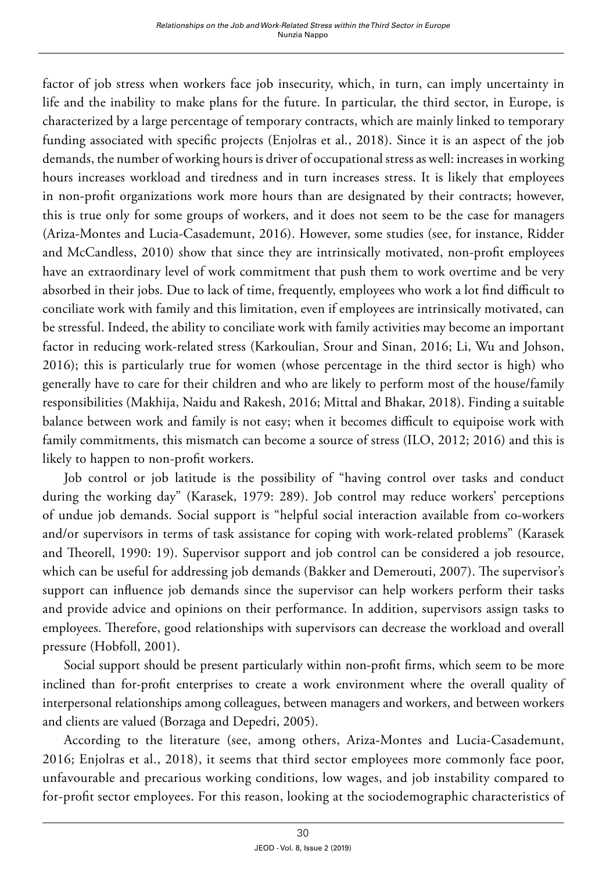factor of job stress when workers face job insecurity, which, in turn, can imply uncertainty in life and the inability to make plans for the future. In particular, the third sector, in Europe, is characterized by a large percentage of temporary contracts, which are mainly linked to temporary funding associated with specific projects (Enjolras et al., 2018). Since it is an aspect of the job demands, the number of working hours is driver of occupational stress as well: increases in working hours increases workload and tiredness and in turn increases stress. It is likely that employees in non-profit organizations work more hours than are designated by their contracts; however, this is true only for some groups of workers, and it does not seem to be the case for managers (Ariza-Montes and Lucia-Casademunt, 2016). However, some studies (see, for instance, Ridder and McCandless, 2010) show that since they are intrinsically motivated, non-profit employees have an extraordinary level of work commitment that push them to work overtime and be very absorbed in their jobs. Due to lack of time, frequently, employees who work a lot find difficult to conciliate work with family and this limitation, even if employees are intrinsically motivated, can be stressful. Indeed, the ability to conciliate work with family activities may become an important factor in reducing work-related stress (Karkoulian, Srour and Sinan, 2016; Li, Wu and Johson, 2016); this is particularly true for women (whose percentage in the third sector is high) who generally have to care for their children and who are likely to perform most of the house/family responsibilities (Makhija, Naidu and Rakesh, 2016; Mittal and Bhakar, 2018). Finding a suitable balance between work and family is not easy; when it becomes difficult to equipoise work with family commitments, this mismatch can become a source of stress (ILO, 2012; 2016) and this is likely to happen to non-profit workers.

Job control or job latitude is the possibility of "having control over tasks and conduct during the working day" (Karasek, 1979: 289). Job control may reduce workers' perceptions of undue job demands. Social support is "helpful social interaction available from co-workers and/or supervisors in terms of task assistance for coping with work-related problems" (Karasek and Theorell, 1990: 19). Supervisor support and job control can be considered a job resource, which can be useful for addressing job demands (Bakker and Demerouti, 2007). The supervisor's support can influence job demands since the supervisor can help workers perform their tasks and provide advice and opinions on their performance. In addition, supervisors assign tasks to employees. Therefore, good relationships with supervisors can decrease the workload and overall pressure (Hobfoll, 2001).

Social support should be present particularly within non-profit firms, which seem to be more inclined than for-profit enterprises to create a work environment where the overall quality of interpersonal relationships among colleagues, between managers and workers, and between workers and clients are valued (Borzaga and Depedri, 2005).

According to the literature (see, among others, Ariza-Montes and Lucia-Casademunt, 2016; Enjolras et al., 2018), it seems that third sector employees more commonly face poor, unfavourable and precarious working conditions, low wages, and job instability compared to for-profit sector employees. For this reason, looking at the sociodemographic characteristics of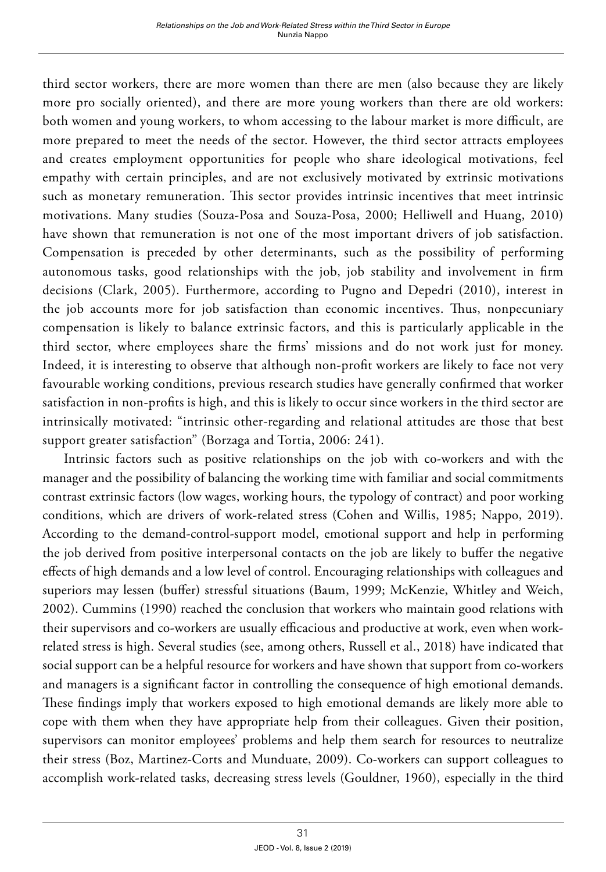third sector workers, there are more women than there are men (also because they are likely more pro socially oriented), and there are more young workers than there are old workers: both women and young workers, to whom accessing to the labour market is more difficult, are more prepared to meet the needs of the sector. However, the third sector attracts employees and creates employment opportunities for people who share ideological motivations, feel empathy with certain principles, and are not exclusively motivated by extrinsic motivations such as monetary remuneration. This sector provides intrinsic incentives that meet intrinsic motivations. Many studies (Souza-Posa and Souza-Posa, 2000; Helliwell and Huang, 2010) have shown that remuneration is not one of the most important drivers of job satisfaction. Compensation is preceded by other determinants, such as the possibility of performing autonomous tasks, good relationships with the job, job stability and involvement in firm decisions (Clark, 2005). Furthermore, according to Pugno and Depedri (2010), interest in the job accounts more for job satisfaction than economic incentives. Thus, nonpecuniary compensation is likely to balance extrinsic factors, and this is particularly applicable in the third sector, where employees share the firms' missions and do not work just for money. Indeed, it is interesting to observe that although non-profit workers are likely to face not very favourable working conditions, previous research studies have generally confirmed that worker satisfaction in non-profits is high, and this is likely to occur since workers in the third sector are intrinsically motivated: "intrinsic other-regarding and relational attitudes are those that best support greater satisfaction" (Borzaga and Tortia, 2006: 241).

Intrinsic factors such as positive relationships on the job with co-workers and with the manager and the possibility of balancing the working time with familiar and social commitments contrast extrinsic factors (low wages, working hours, the typology of contract) and poor working conditions, which are drivers of work-related stress (Cohen and Willis, 1985; Nappo, 2019). According to the demand-control-support model, emotional support and help in performing the job derived from positive interpersonal contacts on the job are likely to buffer the negative effects of high demands and a low level of control. Encouraging relationships with colleagues and superiors may lessen (buffer) stressful situations (Baum, 1999; McKenzie, Whitley and Weich, 2002). Cummins (1990) reached the conclusion that workers who maintain good relations with their supervisors and co-workers are usually efficacious and productive at work, even when workrelated stress is high. Several studies (see, among others, Russell et al., 2018) have indicated that social support can be a helpful resource for workers and have shown that support from co-workers and managers is a significant factor in controlling the consequence of high emotional demands. These findings imply that workers exposed to high emotional demands are likely more able to cope with them when they have appropriate help from their colleagues. Given their position, supervisors can monitor employees' problems and help them search for resources to neutralize their stress (Boz, Martinez-Corts and Munduate, 2009). Co-workers can support colleagues to accomplish work-related tasks, decreasing stress levels (Gouldner, 1960), especially in the third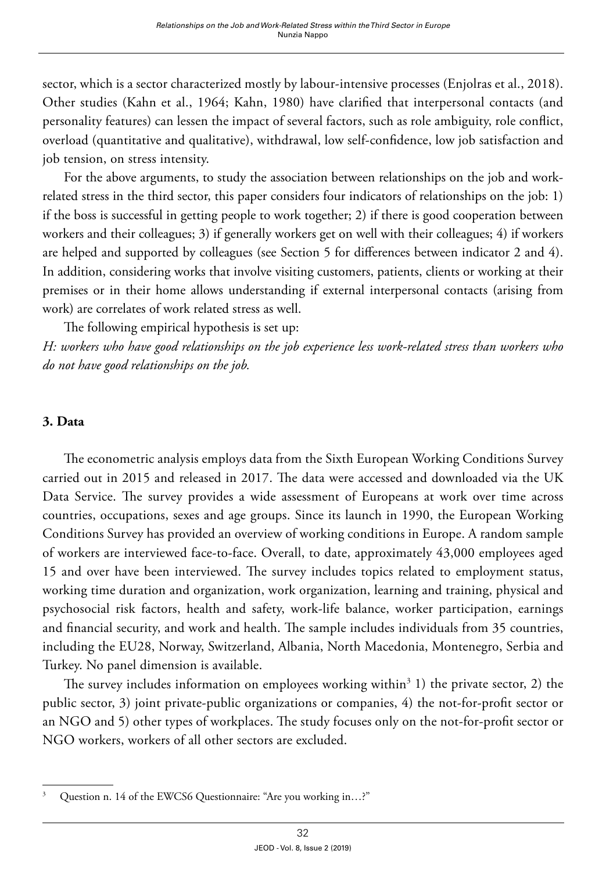sector, which is a sector characterized mostly by labour-intensive processes (Enjolras et al., 2018). Other studies (Kahn et al., 1964; Kahn, 1980) have clarified that interpersonal contacts (and personality features) can lessen the impact of several factors, such as role ambiguity, role conflict, overload (quantitative and qualitative), withdrawal, low self-confidence, low job satisfaction and job tension, on stress intensity.

For the above arguments, to study the association between relationships on the job and workrelated stress in the third sector, this paper considers four indicators of relationships on the job: 1) if the boss is successful in getting people to work together; 2) if there is good cooperation between workers and their colleagues; 3) if generally workers get on well with their colleagues; 4) if workers are helped and supported by colleagues (see Section 5 for differences between indicator 2 and 4). In addition, considering works that involve visiting customers, patients, clients or working at their premises or in their home allows understanding if external interpersonal contacts (arising from work) are correlates of work related stress as well.

The following empirical hypothesis is set up: *H: workers who have good relationships on the job experience less work-related stress than workers who do not have good relationships on the job.* 

#### **3. Data**

The econometric analysis employs data from the Sixth European Working Conditions Survey carried out in 2015 and released in 2017. The data were accessed and downloaded via the UK Data Service. The survey provides a wide assessment of Europeans at work over time across countries, occupations, sexes and age groups. Since its launch in 1990, the European Working Conditions Survey has provided an overview of working conditions in Europe. A random sample of workers are interviewed face-to-face. Overall, to date, approximately 43,000 employees aged 15 and over have been interviewed. The survey includes topics related to employment status, working time duration and organization, work organization, learning and training, physical and psychosocial risk factors, health and safety, work-life balance, worker participation, earnings and financial security, and work and health. The sample includes individuals from 35 countries, including the EU28, Norway, Switzerland, Albania, North Macedonia, Montenegro, Serbia and Turkey. No panel dimension is available.

The survey includes information on employees working within<sup>3</sup> 1) the private sector, 2) the public sector, 3) joint private-public organizations or companies, 4) the not-for-profit sector or an NGO and 5) other types of workplaces. The study focuses only on the not-for-profit sector or NGO workers, workers of all other sectors are excluded.

<sup>&</sup>lt;sup>3</sup> Question n. 14 of the EWCS6 Questionnaire: "Are you working in...?"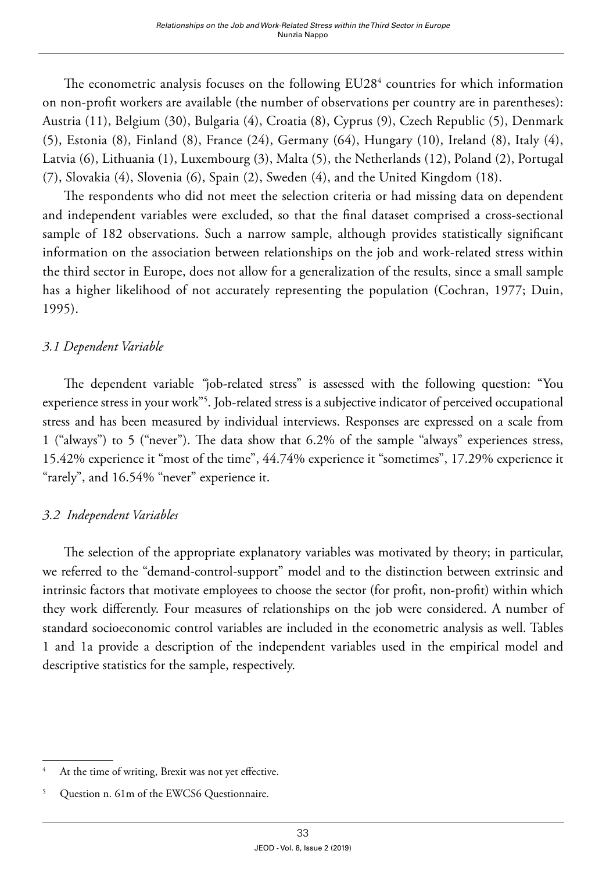The econometric analysis focuses on the following  $EU28<sup>4</sup>$  countries for which information on non-profit workers are available (the number of observations per country are in parentheses): Austria (11), Belgium (30), Bulgaria (4), Croatia (8), Cyprus (9), Czech Republic (5), Denmark (5), Estonia (8), Finland (8), France (24), Germany (64), Hungary (10), Ireland (8), Italy (4), Latvia (6), Lithuania (1), Luxembourg (3), Malta (5), the Netherlands (12), Poland (2), Portugal (7), Slovakia (4), Slovenia (6), Spain (2), Sweden (4), and the United Kingdom (18).

The respondents who did not meet the selection criteria or had missing data on dependent and independent variables were excluded, so that the final dataset comprised a cross-sectional sample of 182 observations. Such a narrow sample, although provides statistically significant information on the association between relationships on the job and work-related stress within the third sector in Europe, does not allow for a generalization of the results, since a small sample has a higher likelihood of not accurately representing the population (Cochran, 1977; Duin, 1995).

## *3.1 Dependent Variable*

The dependent variable *"*job-related stress" is assessed with the following question: "You experience stress in your work"<sup>5</sup>. Job-related stress is a subjective indicator of perceived occupational stress and has been measured by individual interviews. Responses are expressed on a scale from 1 ("always") to 5 ("never"). The data show that 6.2% of the sample "always" experiences stress, 15.42% experience it "most of the time", 44.74% experience it "sometimes", 17.29% experience it "rarely", and 16.54% "never" experience it.

#### *3.2 Independent Variables*

The selection of the appropriate explanatory variables was motivated by theory; in particular, we referred to the "demand-control-support" model and to the distinction between extrinsic and intrinsic factors that motivate employees to choose the sector (for profit, non-profit) within which they work differently. Four measures of relationships on the job were considered. A number of standard socioeconomic control variables are included in the econometric analysis as well. Tables 1 and 1a provide a description of the independent variables used in the empirical model and descriptive statistics for the sample, respectively.

<sup>&</sup>lt;sup>4</sup> At the time of writing, Brexit was not yet effective.

Question n. 61m of the EWCS6 Questionnaire.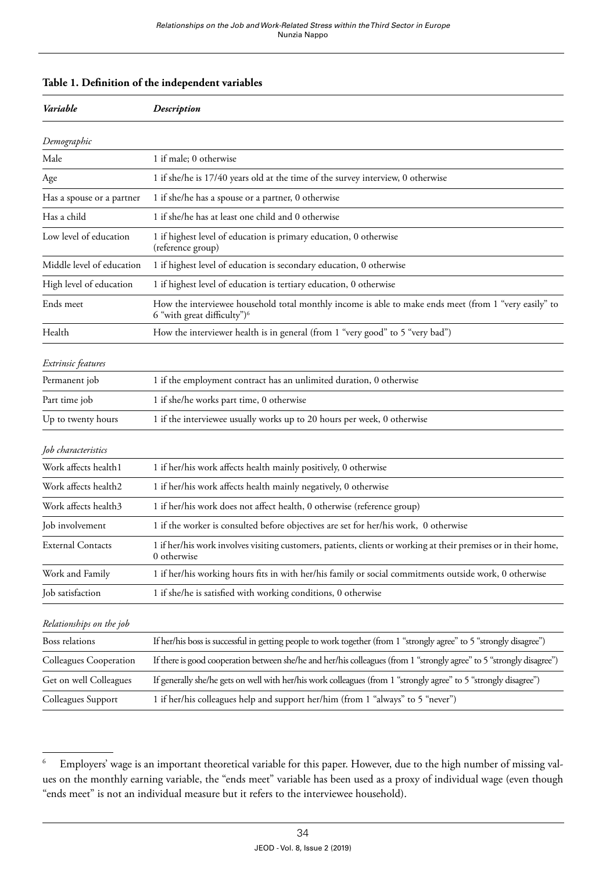|  |  | Table 1. Definition of the independent variables |  |  |  |  |  |
|--|--|--------------------------------------------------|--|--|--|--|--|
|--|--|--------------------------------------------------|--|--|--|--|--|

| Variable                  | Description                                                                                                                                      |  |  |  |
|---------------------------|--------------------------------------------------------------------------------------------------------------------------------------------------|--|--|--|
| Demographic               |                                                                                                                                                  |  |  |  |
| Male                      | 1 if male; 0 otherwise                                                                                                                           |  |  |  |
| Age                       | 1 if she/he is 17/40 years old at the time of the survey interview, 0 otherwise                                                                  |  |  |  |
| Has a spouse or a partner | 1 if she/he has a spouse or a partner, 0 otherwise                                                                                               |  |  |  |
| Has a child               | 1 if she/he has at least one child and 0 otherwise                                                                                               |  |  |  |
| Low level of education    | 1 if highest level of education is primary education, 0 otherwise<br>(reference group)                                                           |  |  |  |
| Middle level of education | 1 if highest level of education is secondary education, 0 otherwise                                                                              |  |  |  |
| High level of education   | 1 if highest level of education is tertiary education, 0 otherwise                                                                               |  |  |  |
| Ends meet                 | How the interviewee household total monthly income is able to make ends meet (from 1 "very easily" to<br>6 "with great difficulty") <sup>6</sup> |  |  |  |
| Health                    | How the interviewer health is in general (from 1 "very good" to 5 "very bad")                                                                    |  |  |  |
| Extrinsic features        |                                                                                                                                                  |  |  |  |
| Permanent job             | 1 if the employment contract has an unlimited duration, 0 otherwise                                                                              |  |  |  |
| Part time job             | 1 if she/he works part time, 0 otherwise                                                                                                         |  |  |  |
| Up to twenty hours        | 1 if the interviewee usually works up to 20 hours per week, 0 otherwise                                                                          |  |  |  |
| Job characteristics       |                                                                                                                                                  |  |  |  |
| Work affects health1      | 1 if her/his work affects health mainly positively, 0 otherwise                                                                                  |  |  |  |
| Work affects health2      | 1 if her/his work affects health mainly negatively, 0 otherwise                                                                                  |  |  |  |
| Work affects health3      | 1 if her/his work does not affect health, 0 otherwise (reference group)                                                                          |  |  |  |
| Job involvement           | 1 if the worker is consulted before objectives are set for her/his work, 0 otherwise                                                             |  |  |  |
| <b>External Contacts</b>  | 1 if her/his work involves visiting customers, patients, clients or working at their premises or in their home,<br>0 otherwise                   |  |  |  |
| Work and Family           | 1 if her/his working hours fits in with her/his family or social commitments outside work, 0 otherwise                                           |  |  |  |
| Job satisfaction          | 1 if she/he is satisfied with working conditions, 0 otherwise                                                                                    |  |  |  |
| Relationships on the job  |                                                                                                                                                  |  |  |  |
| Boss relations            | If her/his boss is successful in getting people to work together (from 1 "strongly agree" to 5 "strongly disagree")                              |  |  |  |
| Colleagues Cooperation    | If there is good cooperation between she/he and her/his colleagues (from 1 "strongly agree" to 5 "strongly disagree")                            |  |  |  |
| Get on well Colleagues    | If generally she/he gets on well with her/his work colleagues (from 1 "strongly agree" to 5 "strongly disagree")                                 |  |  |  |
| Colleagues Support        | 1 if her/his colleagues help and support her/him (from 1 "always" to 5 "never")                                                                  |  |  |  |

<sup>6</sup> Employers' wage is an important theoretical variable for this paper. However, due to the high number of missing values on the monthly earning variable, the "ends meet" variable has been used as a proxy of individual wage (even though "ends meet" is not an individual measure but it refers to the interviewee household).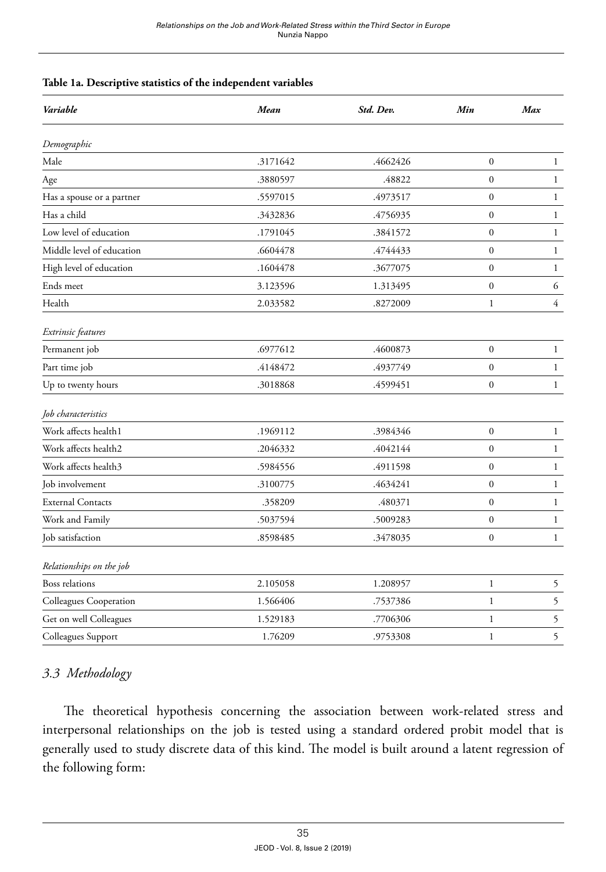#### **Table 1a. Descriptive statistics of the independent variables**

| Variable                  | <b>Mean</b> | Std. Dev. | Min              | Max            |  |
|---------------------------|-------------|-----------|------------------|----------------|--|
| Demographic               |             |           |                  |                |  |
| Male                      | .3171642    | .4662426  | $\boldsymbol{0}$ | $\mathbf{1}$   |  |
| Age                       | .3880597    | .48822    | $\boldsymbol{0}$ | $\mathbf{1}$   |  |
| Has a spouse or a partner | .5597015    | .4973517  | $\boldsymbol{0}$ | $\mathbf{1}$   |  |
| Has a child               | .3432836    | .4756935  | $\boldsymbol{0}$ | $\mathbf{1}$   |  |
| Low level of education    | .1791045    | .3841572  | $\boldsymbol{0}$ | $\mathbf{1}$   |  |
| Middle level of education | .6604478    | .4744433  | $\boldsymbol{0}$ | $\mathbf{1}$   |  |
| High level of education   | .1604478    | .3677075  | $\boldsymbol{0}$ | $\mathbf{1}$   |  |
| Ends meet                 | 3.123596    | 1.313495  | $\boldsymbol{0}$ | 6              |  |
| Health                    | 2.033582    | .8272009  | $\mathbf{1}$     | $\overline{4}$ |  |
| Extrinsic features        |             |           |                  |                |  |
| Permanent job             | .6977612    | .4600873  | $\boldsymbol{0}$ | $\mathbf{1}$   |  |
| Part time job             | .4148472    | .4937749  | $\boldsymbol{0}$ | $\mathbf{1}$   |  |
| Up to twenty hours        | .3018868    | .4599451  | $\boldsymbol{0}$ | $\mathbf{1}$   |  |
| Job characteristics       |             |           |                  |                |  |
| Work affects health1      | .1969112    | .3984346  | $\boldsymbol{0}$ | $\mathbf{1}$   |  |
| Work affects health2      | .2046332    | .4042144  | $\mathbf{0}$     | $\mathbf{1}$   |  |
| Work affects health3      | .5984556    | .4911598  | $\mathbf{0}$     | 1              |  |
| Job involvement           | .3100775    | .4634241  | $\mathbf{0}$     | $\mathbf{1}$   |  |
| <b>External Contacts</b>  | .358209     | .480371   | $\mathbf{0}$     | $\mathbf{1}$   |  |
| Work and Family           | .5037594    | .5009283  | $\boldsymbol{0}$ | 1              |  |
| Job satisfaction          | .8598485    | .3478035  | $\mathbf{0}$     | $\mathbf{1}$   |  |
| Relationships on the job  |             |           |                  |                |  |
| Boss relations            | 2.105058    | 1.208957  | $\mathbf{1}$     | $\mathfrak s$  |  |
| Colleagues Cooperation    | 1.566406    | .7537386  |                  | $\overline{5}$ |  |
| Get on well Colleagues    | 1.529183    | .7706306  | $\mathbf{1}$     | 5              |  |
| Colleagues Support        | 1.76209     | .9753308  | $\mathbf{1}$     | 5              |  |

## *3.3 Methodology*

The theoretical hypothesis concerning the association between work-related stress and interpersonal relationships on the job is tested using a standard ordered probit model that is generally used to study discrete data of this kind. The model is built around a latent regression of the following form: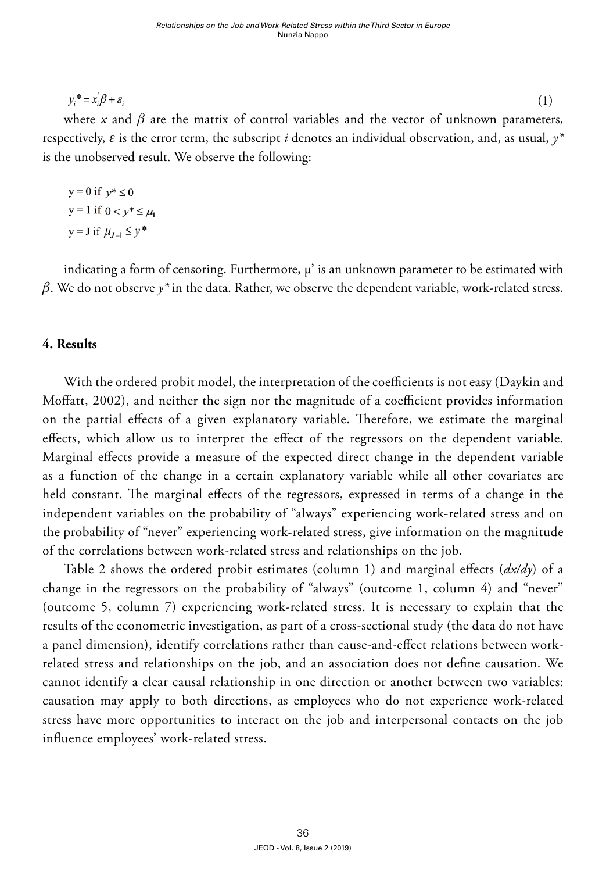$y_i^* = x_i \beta + \varepsilon_i$ 

 (1) where *x* and  $\beta$  are the matrix of control variables and the vector of unknown parameters, respectively, *ε* is the error term, the subscript *i* denotes an individual observation, and, as usual, *y\** is the unobserved result. We observe the following:

$$
y = 0 \text{ if } y^* \le 0
$$
  

$$
y = 1 \text{ if } 0 < y^* \le \mu
$$
  

$$
y = J \text{ if } \mu_{J-1} \le y^*
$$

indicating a form of censoring. Furthermore, μ' is an unknown parameter to be estimated with *β*. We do not observe *y\** in the data. Rather, we observe the dependent variable, work-related stress.

#### **4. Results**

With the ordered probit model, the interpretation of the coefficients is not easy (Daykin and Moffatt, 2002), and neither the sign nor the magnitude of a coefficient provides information on the partial effects of a given explanatory variable. Therefore, we estimate the marginal effects, which allow us to interpret the effect of the regressors on the dependent variable. Marginal effects provide a measure of the expected direct change in the dependent variable as a function of the change in a certain explanatory variable while all other covariates are held constant. The marginal effects of the regressors, expressed in terms of a change in the independent variables on the probability of "always" experiencing work-related stress and on the probability of "never" experiencing work-related stress, give information on the magnitude of the correlations between work-related stress and relationships on the job.

Table 2 shows the ordered probit estimates (column 1) and marginal effects (*dx/dy*) of a change in the regressors on the probability of "always" (outcome 1, column 4) and "never" (outcome 5, column 7) experiencing work-related stress. It is necessary to explain that the results of the econometric investigation, as part of a cross-sectional study (the data do not have a panel dimension), identify correlations rather than cause-and-effect relations between workrelated stress and relationships on the job, and an association does not define causation. We cannot identify a clear causal relationship in one direction or another between two variables: causation may apply to both directions, as employees who do not experience work-related stress have more opportunities to interact on the job and interpersonal contacts on the job influence employees' work-related stress.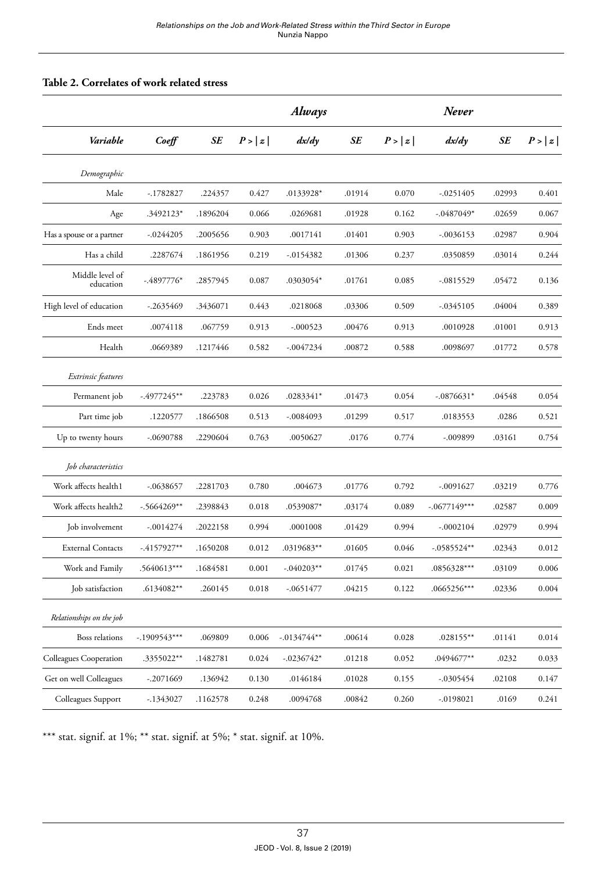#### **Table 2. Correlates of work related stress**

|                              | $Co$ eff       |          | Always |                |        | Never  |                |        |        |
|------------------------------|----------------|----------|--------|----------------|--------|--------|----------------|--------|--------|
| Variable                     |                | SE       | P >  z | dx/dy          | SE     | P >  z | dx/dy          | SE     | P >  z |
| Demographic                  |                |          |        |                |        |        |                |        |        |
| Male                         | $-.1782827$    | .224357  | 0.427  | .0133928*      | .01914 | 0.070  | $-.0251405$    | .02993 | 0.401  |
| Age                          | .3492123*      | .1896204 | 0.066  | .0269681       | .01928 | 0.162  | $-.0487049*$   | .02659 | 0.067  |
| Has a spouse or a partner    | $-0.0244205$   | .2005656 | 0.903  | .0017141       | .01401 | 0.903  | $-.0036153$    | .02987 | 0.904  |
| Has a child                  | .2287674       | .1861956 | 0.219  | $-0.0154382$   | .01306 | 0.237  | .0350859       | .03014 | 0.244  |
| Middle level of<br>education | $-.4897776*$   | .2857945 | 0.087  | .0303054*      | .01761 | 0.085  | $-.0815529$    | .05472 | 0.136  |
| High level of education      | $-.2635469$    | .3436071 | 0.443  | .0218068       | .03306 | 0.509  | $-0.345105$    | .04004 | 0.389  |
| Ends meet                    | .0074118       | .067759  | 0.913  | $-.000523$     | .00476 | 0.913  | .0010928       | .01001 | 0.913  |
| Health                       | .0669389       | .1217446 | 0.582  | $-.0047234$    | .00872 | 0.588  | .0098697       | .01772 | 0.578  |
| Extrinsic features           |                |          |        |                |        |        |                |        |        |
| Permanent job                | $-.4977245**$  | .223783  | 0.026  | .0283341*      | .01473 | 0.054  | $-.0876631*$   | .04548 | 0.054  |
| Part time job                | .1220577       | .1866508 | 0.513  | $-.0084093$    | .01299 | 0.517  | .0183553       | .0286  | 0.521  |
| Up to twenty hours           | $-.0690788$    | .2290604 | 0.763  | .0050627       | .0176  | 0.774  | $-.009899$     | .03161 | 0.754  |
| Job characteristics          |                |          |        |                |        |        |                |        |        |
| Work affects health1         | $-.0638657$    | .2281703 | 0.780  | .004673        | .01776 | 0.792  | $-.0091627$    | .03219 | 0.776  |
| Work affects health2         | $-0.5664269**$ | .2398843 | 0.018  | .0539087*      | .03174 | 0.089  | $-.0677149***$ | .02587 | 0.009  |
| Job involvement              | $-.0014274$    | .2022158 | 0.994  | .0001008       | .01429 | 0.994  | $-.0002104$    | .02979 | 0.994  |
| <b>External Contacts</b>     | $-4157927**$   | .1650208 | 0.012  | .0319683**     | .01605 | 0.046  | $-.0585524**$  | .02343 | 0.012  |
| Work and Family              | .5640613***    | .1684581 | 0.001  | $-.040203**$   | .01745 | 0.021  | .0856328***    | .03109 | 0.006  |
| Job satisfaction             | .6134082**     | .260145  | 0.018  | $-.0651477$    | .04215 | 0.122  | .0665256***    | .02336 | 0.004  |
| Relationships on the job     |                |          |        |                |        |        |                |        |        |
| Boss relations               | $-.1909543***$ | .069809  | 0.006  | $-0.0134744**$ | .00614 | 0.028  | $.028155***$   | .01141 | 0.014  |
| Colleagues Cooperation       | .3355022**     | .1482781 | 0.024  | $-0.0236742*$  | .01218 | 0.052  | .0494677**     | .0232  | 0.033  |
| Get on well Colleagues       | $-.2071669$    | .136942  | 0.130  | .0146184       | .01028 | 0.155  | $-.0305454$    | .02108 | 0.147  |
| Colleagues Support           | $-.1343027$    | .1162578 | 0.248  | .0094768       | .00842 | 0.260  | $-0198021$     | .0169  | 0.241  |

\*\*\* stat. signif. at 1%; \*\* stat. signif. at 5%; \* stat. signif. at 10%.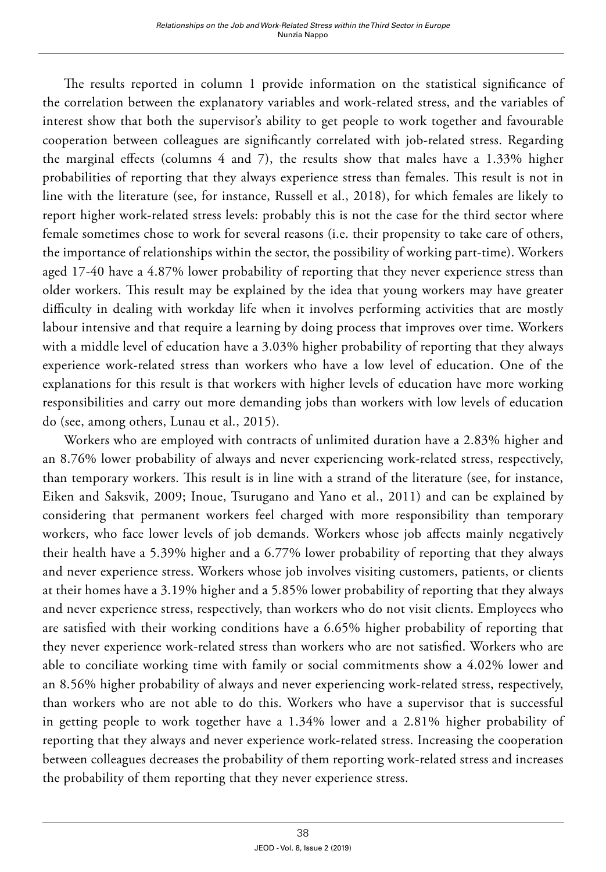The results reported in column 1 provide information on the statistical significance of the correlation between the explanatory variables and work-related stress, and the variables of interest show that both the supervisor's ability to get people to work together and favourable cooperation between colleagues are significantly correlated with job-related stress. Regarding the marginal effects (columns 4 and 7), the results show that males have a 1.33% higher probabilities of reporting that they always experience stress than females. This result is not in line with the literature (see, for instance, Russell et al., 2018), for which females are likely to report higher work-related stress levels: probably this is not the case for the third sector where female sometimes chose to work for several reasons (i.e. their propensity to take care of others, the importance of relationships within the sector, the possibility of working part-time). Workers aged 17-40 have a 4.87% lower probability of reporting that they never experience stress than older workers. This result may be explained by the idea that young workers may have greater difficulty in dealing with workday life when it involves performing activities that are mostly labour intensive and that require a learning by doing process that improves over time. Workers with a middle level of education have a 3.03% higher probability of reporting that they always experience work-related stress than workers who have a low level of education. One of the explanations for this result is that workers with higher levels of education have more working responsibilities and carry out more demanding jobs than workers with low levels of education do (see, among others, Lunau et al., 2015).

Workers who are employed with contracts of unlimited duration have a 2.83% higher and an 8.76% lower probability of always and never experiencing work-related stress, respectively, than temporary workers. This result is in line with a strand of the literature (see, for instance, Eiken and Saksvik, 2009; Inoue, Tsurugano and Yano et al., 2011) and can be explained by considering that permanent workers feel charged with more responsibility than temporary workers, who face lower levels of job demands. Workers whose job affects mainly negatively their health have a 5.39% higher and a 6.77% lower probability of reporting that they always and never experience stress. Workers whose job involves visiting customers, patients, or clients at their homes have a 3.19% higher and a 5.85% lower probability of reporting that they always and never experience stress, respectively, than workers who do not visit clients. Employees who are satisfied with their working conditions have a 6.65% higher probability of reporting that they never experience work-related stress than workers who are not satisfied. Workers who are able to conciliate working time with family or social commitments show a 4.02% lower and an 8.56% higher probability of always and never experiencing work-related stress, respectively, than workers who are not able to do this. Workers who have a supervisor that is successful in getting people to work together have a 1.34% lower and a 2.81% higher probability of reporting that they always and never experience work-related stress. Increasing the cooperation between colleagues decreases the probability of them reporting work-related stress and increases the probability of them reporting that they never experience stress.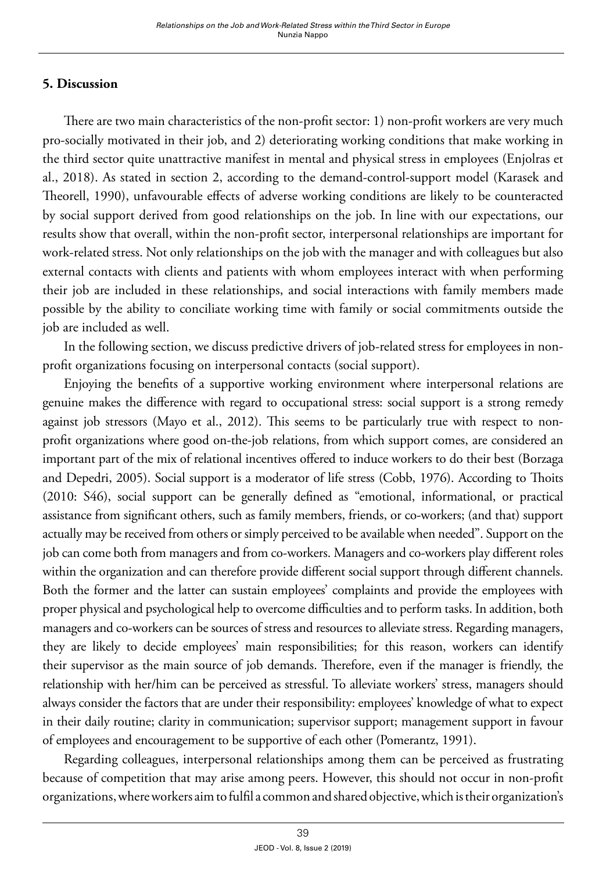#### **5. Discussion**

There are two main characteristics of the non-profit sector: 1) non-profit workers are very much pro-socially motivated in their job, and 2) deteriorating working conditions that make working in the third sector quite unattractive manifest in mental and physical stress in employees (Enjolras et al., 2018). As stated in section 2, according to the demand-control-support model (Karasek and Theorell, 1990), unfavourable effects of adverse working conditions are likely to be counteracted by social support derived from good relationships on the job. In line with our expectations, our results show that overall, within the non-profit sector, interpersonal relationships are important for work-related stress. Not only relationships on the job with the manager and with colleagues but also external contacts with clients and patients with whom employees interact with when performing their job are included in these relationships, and social interactions with family members made possible by the ability to conciliate working time with family or social commitments outside the job are included as well.

In the following section, we discuss predictive drivers of job-related stress for employees in nonprofit organizations focusing on interpersonal contacts (social support).

Enjoying the benefits of a supportive working environment where interpersonal relations are genuine makes the difference with regard to occupational stress: social support is a strong remedy against job stressors (Mayo et al., 2012). This seems to be particularly true with respect to nonprofit organizations where good on-the-job relations, from which support comes, are considered an important part of the mix of relational incentives offered to induce workers to do their best (Borzaga and Depedri, 2005). Social support is a moderator of life stress (Cobb, 1976). According to Thoits (2010: S46), social support can be generally defined as "emotional, informational, or practical assistance from significant others, such as family members, friends, or co-workers; (and that) support actually may be received from others or simply perceived to be available when needed". Support on the job can come both from managers and from co-workers. Managers and co-workers play different roles within the organization and can therefore provide different social support through different channels. Both the former and the latter can sustain employees' complaints and provide the employees with proper physical and psychological help to overcome difficulties and to perform tasks. In addition, both managers and co-workers can be sources of stress and resources to alleviate stress. Regarding managers, they are likely to decide employees' main responsibilities; for this reason, workers can identify their supervisor as the main source of job demands. Therefore, even if the manager is friendly, the relationship with her/him can be perceived as stressful. To alleviate workers' stress, managers should always consider the factors that are under their responsibility: employees' knowledge of what to expect in their daily routine; clarity in communication; supervisor support; management support in favour of employees and encouragement to be supportive of each other (Pomerantz, 1991).

Regarding colleagues, interpersonal relationships among them can be perceived as frustrating because of competition that may arise among peers. However, this should not occur in non-profit organizations, where workers aim to fulfil a common and shared objective, which is their organization's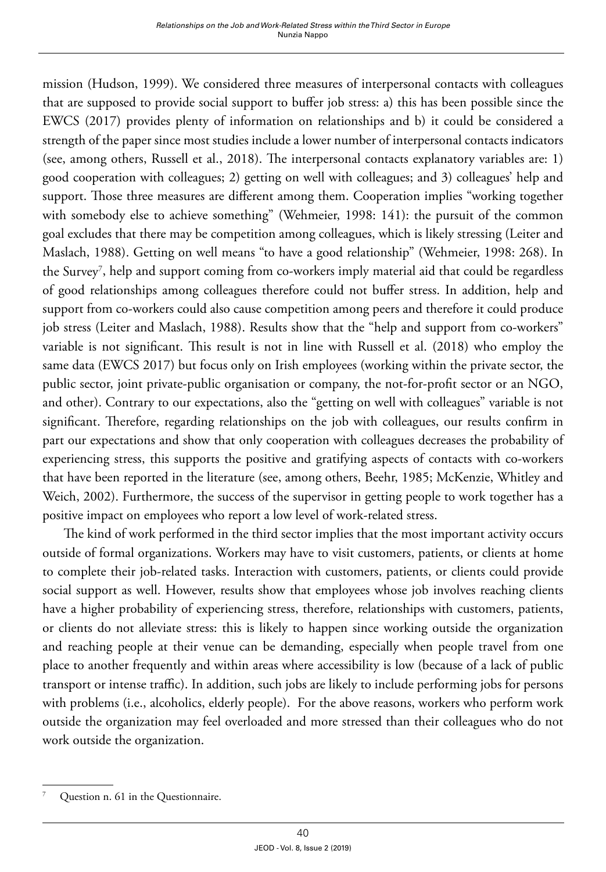mission (Hudson, 1999). We considered three measures of interpersonal contacts with colleagues that are supposed to provide social support to buffer job stress: a) this has been possible since the EWCS (2017) provides plenty of information on relationships and b) it could be considered a strength of the paper since most studies include a lower number of interpersonal contacts indicators (see, among others, Russell et al., 2018). The interpersonal contacts explanatory variables are: 1) good cooperation with colleagues; 2) getting on well with colleagues; and 3) colleagues' help and support. Those three measures are different among them. Cooperation implies "working together with somebody else to achieve something" (Wehmeier, 1998: 141): the pursuit of the common goal excludes that there may be competition among colleagues, which is likely stressing (Leiter and Maslach, 1988). Getting on well means "to have a good [relationship](https://dictionary.cambridge.org/dictionary/english/relationship)" (Wehmeier, 1998: 268). In the Survey<sup>7</sup>, help and support coming from co-workers imply material aid that could be regardless of good relationships among colleagues therefore could not buffer stress. In addition, help and support from co-workers could also cause competition among peers and therefore it could produce job stress (Leiter and Maslach, 1988). Results show that the "help and support from co-workers" variable is not significant. This result is not in line with Russell et al. (2018) who employ the same data (EWCS 2017) but focus only on Irish employees (working within the private sector, the public sector, joint private-public organisation or company, the not-for-profit sector or an NGO, and other). Contrary to our expectations, also the "getting on well with colleagues" variable is not significant. Therefore, regarding relationships on the job with colleagues, our results confirm in part our expectations and show that only cooperation with colleagues decreases the probability of experiencing stress, this supports the positive and gratifying aspects of contacts with co-workers that have been reported in the literature (see, among others, Beehr, 1985; McKenzie, Whitley and Weich, 2002). Furthermore, the success of the supervisor in getting people to work together has a positive impact on employees who report a low level of work-related stress.

The kind of work performed in the third sector implies that the most important activity occurs outside of formal organizations. Workers may have to visit customers, patients, or clients at home to complete their job-related tasks. Interaction with customers, patients, or clients could provide social support as well. However, results show that employees whose job involves reaching clients have a higher probability of experiencing stress, therefore, relationships with customers, patients, or clients do not alleviate stress: this is likely to happen since working outside the organization and reaching people at their venue can be demanding, especially when people travel from one place to another frequently and within areas where accessibility is low (because of a lack of public transport or intense traffic). In addition, such jobs are likely to include performing jobs for persons with problems (i.e., alcoholics, elderly people). For the above reasons, workers who perform work outside the organization may feel overloaded and more stressed than their colleagues who do not work outside the organization.

Question n. 61 in the Questionnaire.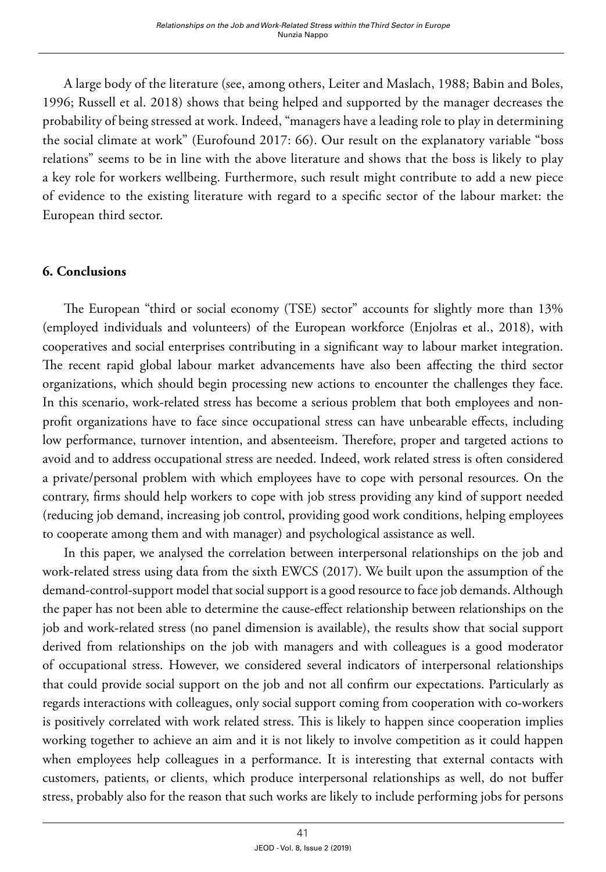A large body of the literature (see, among others, Leiter and Maslach, 1988; Babin and Boles, 1996; Russell et al. 2018) shows that being helped and supported by the manager decreases the probability of being stressed at work. Indeed, "managers have a leading role to play in determining the social climate at work" (Eurofound 2017: 66). Our result on the explanatory variable "boss relations" seems to be in line with the above literature and shows that the boss is likely to play a key role for workers wellbeing. Furthermore, such result might contribute to add a new piece of evidence to the existing literature with regard to a specific sector of the labour market: the European third sector.

#### **6. Conclusions**

The European "third or social economy (TSE) sector" accounts for slightly more than 13% (employed individuals and volunteers) of the European workforce (Enjolras et al., 2018), with cooperatives and social enterprises contributing in a significant way to labour market integration. The recent rapid global labour market advancements have also been affecting the third sector organizations, which should begin processing new actions to encounter the challenges they face. In this scenario, work-related stress has become a serious problem that both employees and nonprofit organizations have to face since occupational stress can have unbearable effects, including low performance, turnover intention, and absenteeism. Therefore, proper and targeted actions to avoid and to address occupational stress are needed. Indeed, work related stress is often considered a private/personal problem with which employees have to cope with personal resources. On the contrary, firms should help workers to cope with job stress providing any kind of support needed (reducing job demand, increasing job control, providing good work conditions, helping employees to cooperate among them and with manager) and psychological assistance as well.

In this paper, we analysed the correlation between interpersonal relationships on the job and work-related stress using data from the sixth EWCS (2017). We built upon the assumption of the demand-control-support model that social support is a good resource to face job demands. Although the paper has not been able to determine the cause-effect relationship between relationships on the job and work-related stress (no panel dimension is available), the results show that social support derived from relationships on the job with managers and with colleagues is a good moderator of occupational stress. However, we considered several indicators of interpersonal relationships that could provide social support on the job and not all confirm our expectations. Particularly as regards interactions with colleagues, only social support coming from cooperation with co-workers is positively correlated with work related stress. This is likely to happen since cooperation implies working together to achieve an aim and it is not likely to involve competition as it could happen when employees help colleagues in a performance. It is interesting that external contacts with customers, patients, or clients, which produce interpersonal relationships as well, do not buffer stress, probably also for the reason that such works are likely to include performing jobs for persons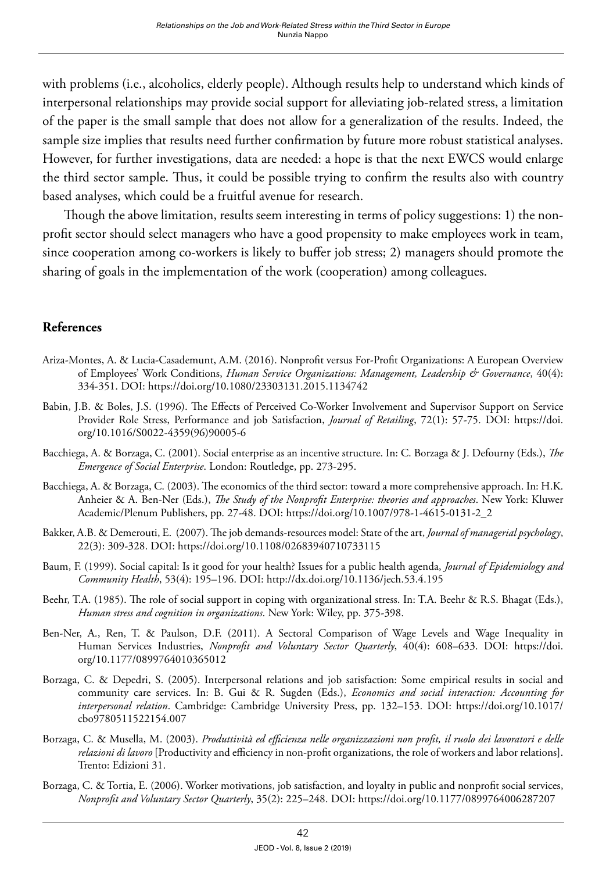with problems (i.e., alcoholics, elderly people). Although results help to understand which kinds of interpersonal relationships may provide social support for alleviating job-related stress, a limitation of the paper is the small sample that does not allow for a generalization of the results. Indeed, the sample size implies that results need further confirmation by future more robust statistical analyses. However, for further investigations, data are needed: a hope is that the next EWCS would enlarge the third sector sample. Thus, it could be possible trying to confirm the results also with country based analyses, which could be a fruitful avenue for research.

Though the above limitation, results seem interesting in terms of policy suggestions: 1) the nonprofit sector should select managers who have a good propensity to make employees work in team, since cooperation among co-workers is likely to buffer job stress; 2) managers should promote the sharing of goals in the implementation of the work (cooperation) among colleagues.

#### **References**

- Ariza-Montes, A. & Lucia-Casademunt, A.M. (2016). Nonprofit versus For-Profit Organizations: A European Overview of Employees' Work Conditions, *Human Service Organizations: Management, Leadership & Governance*, 40(4): 334-351. DOI:<https://doi.org/10.1080/23303131.2015.1134742>
- Babin, J.B. & Boles, J.S. (1996). The Effects of Perceived Co-Worker Involvement and Supervisor Support on Service Provider Role Stress, Performance and job Satisfaction, *Journal of Retailing*, 72(1): 57-75. DOI: [https://doi.](https://doi.org/10.1016/S0022-4359(96)90005-6) [org/10.1016/S0022-4359\(96\)90005-6](https://doi.org/10.1016/S0022-4359(96)90005-6)
- Bacchiega, A. & Borzaga, C. (2001). Social enterprise as an incentive structure. In: C. Borzaga & J. Defourny (Eds.), *The Emergence of Social Enterprise*. London: Routledge, pp. 273-295.
- Bacchiega, A. & Borzaga, C. (2003). The economics of the third sector: toward a more comprehensive approach. In: H.K. Anheier & A. Ben-Ner (Eds.), *The Study of the Nonprofit Enterprise: theories and approaches*. New York: Kluwer Academic/Plenum Publishers, pp. 27-48. DOI: [https://doi.org/10.1007/978-1-4615-0131-2\\_2](https://doi.org/10.1007/978-1-4615-0131-2_2)
- Bakker, A.B. & Demerouti, E. (2007). The job demands-resources model: State of the art, *Journal of managerial psychology*, 22(3): 309-328. DOI: https://doi.org/10.1108/02683940710733115
- Baum, F. (1999). Social capital: Is it good for your health? Issues for a public health agenda, *Journal of Epidemiology and Community Health*, 53(4): 195–196. DOI:<http://dx.doi.org/10.1136/jech.53.4.195>
- Beehr, T.A. (1985). The role of social support in coping with organizational stress. In: T.A. Beehr & R.S. Bhagat (Eds.), *Human stress and cognition in organizations*. New York: Wiley, pp. 375-398.
- Ben-Ner, A., Ren, T. & Paulson, D.F. (2011). A Sectoral Comparison of Wage Levels and Wage Inequality in Human Services Industries, *Nonprofit and Voluntary Sector Quarterly*, 40(4): 608–633. DOI: [https://doi.](https://doi.org/10.1177/0899764010365012) [org/10.1177/0899764010365012](https://doi.org/10.1177/0899764010365012)
- Borzaga, C. & Depedri, S. (2005). Interpersonal relations and job satisfaction: Some empirical results in social and community care services. In: B. Gui & R. Sugden (Eds.), *Economics and social interaction: Accounting for interpersonal relation*. Cambridge: Cambridge University Press, pp. 132–153. DOI: [https://doi.org/10.1017/](https://doi.org/10.1017/cbo9780511522154.007) [cbo9780511522154.007](https://doi.org/10.1017/cbo9780511522154.007)
- Borzaga, C. & Musella, M. (2003). *Produttività ed efficienza nelle organizzazioni non profit, il ruolo dei lavoratori e delle relazioni di lavoro* [Productivity and efficiency in non-profit organizations, the role of workers and labor relations]. Trento: Edizioni 31.
- Borzaga, C. & Tortia, E. (2006). Worker motivations, job satisfaction, and loyalty in public and nonprofit social services, *Nonprofit and Voluntary Sector Quarterly*, 35(2): 225–248. DOI:<https://doi.org/10.1177/0899764006287207>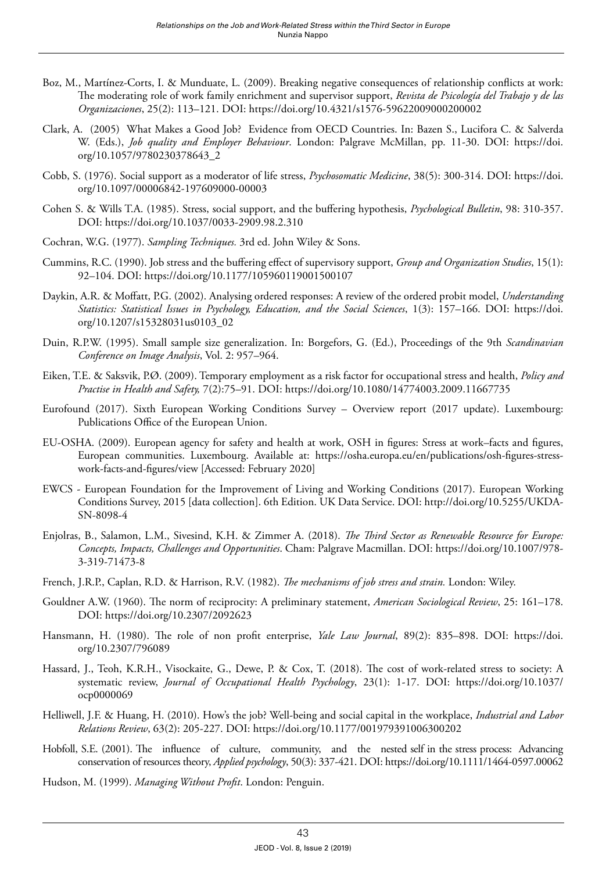- Boz, M., Martínez-Corts, I. & Munduate, L. (2009). Breaking negative consequences of relationship conflicts at work: The moderating role of work family enrichment and supervisor support, *Revista de Psicología del Trabajo y de las Organizaciones*, 25(2): 113–121. DOI:<https://doi.org/10.4321/s1576-59622009000200002>
- Clark, A. (2005) What Makes a Good Job? Evidence from OECD Countries. In: Bazen S., Lucifora C. & Salverda W. (Eds.), *Job quality and Employer Behaviour*. London: Palgrave McMillan, pp. 11-30. DOI: [https://doi.](https://doi.org/10.1057/9780230378643_2) [org/10.1057/9780230378643\\_2](https://doi.org/10.1057/9780230378643_2)
- Cobb, S. (1976). Social support as a moderator of life stress, *Psychosomatic Medicine*, 38(5): 300-314. DOI: [https://doi.](https://doi.org/10.1097/00006842-197609000-00003) [org/10.1097/00006842-197609000-00003](https://doi.org/10.1097/00006842-197609000-00003)
- Cohen S. & Wills T.A. (1985). Stress, social support, and the buffering hypothesis, *Psychological Bulletin*, 98: 310-357. DOI:<https://doi.org/10.1037/0033-2909.98.2.310>
- Cochran, W.G. (1977). *Sampling Techniques.* 3rd ed. John Wiley & Sons.
- Cummins, R.C. (1990). Job stress and the buffering effect of supervisory support, *Group and Organization Studies*, 15(1): 92–104. DOI: <https://doi.org/10.1177/105960119001500107>
- Daykin, A.R. & Moffatt, P.G. (2002). Analysing ordered responses: A review of the ordered probit model, *Understanding Statistics: Statistical Issues in Psychology, Education, and the Social Sciences*, 1(3): 157–166. DOI: [https://doi.](https://doi.org/10.1207/s15328031us0103_02) [org/10.1207/s15328031us0103\\_02](https://doi.org/10.1207/s15328031us0103_02)
- Duin, R.P.W. (1995). Small sample size generalization. In: Borgefors, G. (Ed.), Proceedings of the 9th *Scandinavian Conference on Image Analysis*, Vol. 2: 957–964.
- Eiken, T.E. & Saksvik, P.Ø. (2009). Temporary employment as a risk factor for occupational stress and health, *Policy and Practise in Health and Safety,* 7(2):75–91. DOI:<https://doi.org/10.1080/14774003.2009.11667735>
- Eurofound (2017). Sixth European Working Conditions Survey Overview report (2017 update). Luxembourg: Publications Office of the European Union.
- EU-OSHA. (2009). European agency for safety and health at work, OSH in figures: Stress at work–facts and figures, European communities. Luxembourg. Available at: [https://osha.europa.eu/en/publications/osh-figures-stress](https://osha.europa.eu/en/publications/osh-figures-stress-work-facts-and-figures/view)[work-facts-and-figures/view](https://osha.europa.eu/en/publications/osh-figures-stress-work-facts-and-figures/view) [Accessed: February 2020]
- EWCS European Foundation for the Improvement of Living and Working Conditions (2017). European Working Conditions Survey, 2015 [data collection]. 6th Edition. UK Data Service. DOI: [http://doi.org/10.5255/UKDA-](http://doi.org/10.5255/UKDA-SN-8098-4)[SN-8098-4](http://doi.org/10.5255/UKDA-SN-8098-4)
- Enjolras, B., Salamon, L.M., Sivesind, K.H. & Zimmer A. (2018). *The Third Sector as Renewable Resource for Europe: Concepts, Impacts, Challenges and Opportunities*. Cham: Palgrave Macmillan. DOI: [https://doi.org/10.1007/978-](https://doi.org/10.1007/978-3-319-71473-8) [3-319-71473-8](https://doi.org/10.1007/978-3-319-71473-8)
- French, J.R.P., Caplan, R.D. & Harrison, R.V. (1982). *The mechanisms of job stress and strain.* London: Wiley.
- Gouldner A.W. (1960). The norm of reciprocity: A preliminary statement, *American Sociological Review*, 25: 161–178. DOI:<https://doi.org/10.2307/2092623>
- Hansmann, H. (1980). The role of non profit enterprise, *Yale Law Journal*, 89(2): 835–898. DOI: [https://doi.](https://doi.org/10.2307/796089) [org/10.2307/796089](https://doi.org/10.2307/796089)
- Hassard, J., Teoh, K.R.H., Visockaite, G., Dewe, P. & Cox, T. (2018). The cost of work-related stress to society: A systematic review, *Journal of Occupational Health Psychology*, 23(1): 1-17. DOI: [https://doi.org/10.1037/](https://doi.org/10.1037/ocp0000069) [ocp0000069](https://doi.org/10.1037/ocp0000069)
- Helliwell, J.F. & Huang, H. (2010). How's the job? Well-being and social capital in the workplace, *Industrial and Labor Relations Review*, 63(2): 205-227. DOI:<https://doi.org/10.1177/001979391006300202>
- Hobfoll, S.E. (2001). The influence of culture, community, and the nested self in the stress process: Advancing conservation of resources theory, *Applied psychology*, 50(3): 337-421. DOI:<https://doi.org/10.1111/1464-0597.00062>
- Hudson, M. (1999). *Managing Without Profit*. London: Penguin.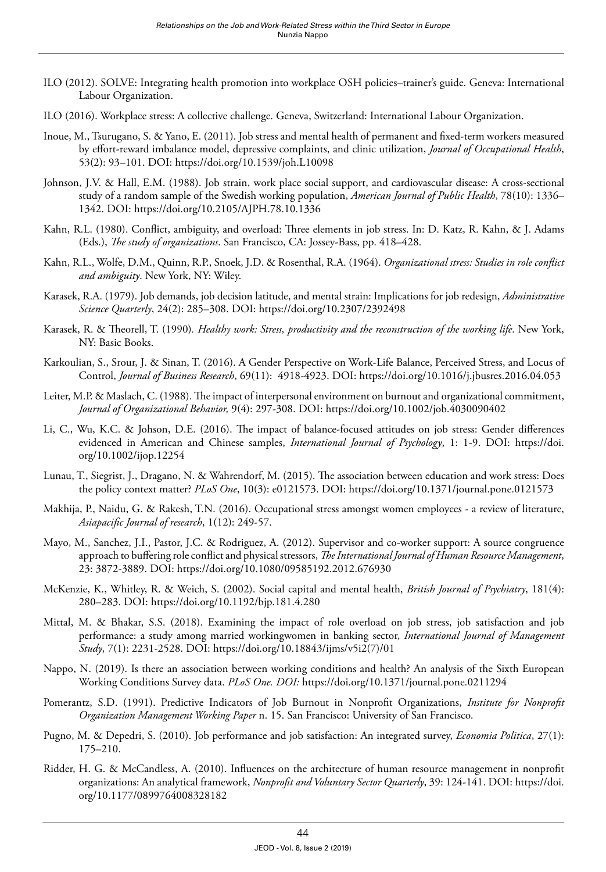- ILO (2012). SOLVE: Integrating health promotion into workplace OSH policies–trainer's guide. Geneva: International Labour Organization.
- ILO (2016). Workplace stress: A collective challenge. Geneva, Switzerland: International Labour Organization.
- Inoue, M., Tsurugano, S. & Yano, E. (2011). Job stress and mental health of permanent and fixed-term workers measured by effort-reward imbalance model, depressive complaints, and clinic utilization, *Journal of Occupational Health*, 53(2): 93–101. DOI:<https://doi.org/10.1539/joh.L10098>
- Johnson, J.V. & Hall, E.M. (1988). Job strain, work place social support, and cardiovascular disease: A cross-sectional study of a random sample of the Swedish working population, *American Journal of Public Health*, 78(10): 1336– 1342. DOI:<https://doi.org/10.2105/AJPH.78.10.1336>
- Kahn, R.L. (1980). Conflict, ambiguity, and overload: Three elements in job stress. In: D. Katz, R. Kahn, & J. Adams (Eds.), *The study of organizations*. San Francisco, CA: Jossey-Bass, pp. 418–428.
- Kahn, R.L., Wolfe, D.M., Quinn, R.P., Snoek, J.D. & Rosenthal, R.A. (1964). *Organizational stress: Studies in role conflict and ambiguity*. New York, NY: Wiley.
- Karasek, R.A. (1979). Job demands, job decision latitude, and mental strain: Implications for job redesign, *Administrative Science Quarterly*, 24(2): 285–308. DOI:<https://doi.org/10.2307/2392498>
- Karasek, R. & Theorell, T. (1990)*. Healthy work: Stress, productivity and the reconstruction of the working life*. New York, NY: Basic Books.
- Karkoulian, S., Srour, J. & Sinan, T. (2016). A Gender Perspective on Work-Life Balance, Perceived Stress, and Locus of Control, *Journal of Business Research*, 69(11): 4918-4923. DOI: <https://doi.org/10.1016/j.jbusres.2016.04.053>
- Leiter, M.P. & Maslach, C. (1988). The impact of interpersonal environment on burnout and organizational commitment, *Journal of Organizational Behavior,* 9(4): 297-308. DOI: <https://doi.org/10.1002/job.4030090402>
- Li, C., Wu, K.C. & Johson, D.E. (2016). The impact of balance-focused attitudes on job stress: Gender differences evidenced in American and Chinese samples, *International Journal of Psychology*, 1: 1-9. DOI: [https://doi.](https://doi.org/10.1002/ijop.12254) [org/10.1002/ijop.12254](https://doi.org/10.1002/ijop.12254)
- Lunau, T., Siegrist, J., Dragano, N. & Wahrendorf, M. (2015). The association between education and work stress: Does the policy context matter? *PLoS One*, 10(3): e0121573. DOI:<https://doi.org/10.1371/journal.pone.0121573>
- Makhija, P., Naidu, G. & Rakesh, T.N. (2016). Occupational stress amongst women employees a review of literature, *Asiapacific Journal of research*, 1(12): 249-57.
- Mayo, M., Sanchez, J.I., Pastor, J.C. & Rodriguez, A. (2012). Supervisor and co-worker support: A source congruence approach to buffering role conflict and physical stressors, *The International Journal of Human Resource Management*, 23: 3872-3889. DOI: <https://doi.org/10.1080/09585192.2012.676930>
- McKenzie, K., Whitley, R. & Weich, S. (2002). Social capital and mental health, *British Journal of Psychiatry*, 181(4): 280–283. DOI: <https://doi.org/10.1192/bjp.181.4.280>
- Mittal, M. & Bhakar, S.S. (2018). Examining the impact of role overload on job stress, job satisfaction and job performance: a study among married workingwomen in banking sector, *International Journal of Management Study*, 7(1): 2231-2528. DOI: [https://doi.org/10.18843/ijms/v5i2\(7\)/01](https://doi.org/10.18843/ijms/v5i2(7)/01)
- Nappo, N. (2019). Is there an association between working conditions and health? An analysis of the Sixth European Working Conditions Survey data. *PLoS One. DOI:* <https://doi.org/10.1371/journal.pone.0211294>
- Pomerantz, S.D. (1991). Predictive Indicators of Job Burnout in Nonprofit Organizations, *Institute for Nonprofit Organization Management Working Paper* n. 15. San Francisco: University of San Francisco.
- Pugno, M. & Depedri, S. (2010). Job performance and job satisfaction: An integrated survey, *Economia Politica*, 27(1): 175–210.
- Ridder, H. G. & McCandless, A. (2010). Influences on the architecture of human resource management in nonprofit organizations: An analytical framework, *Nonprofit and Voluntary Sector Quarterly*, 39: 124-141. DOI: [https://doi.](https://doi.org/10.1177/0899764008328182) [org/10.1177/0899764008328182](https://doi.org/10.1177/0899764008328182)